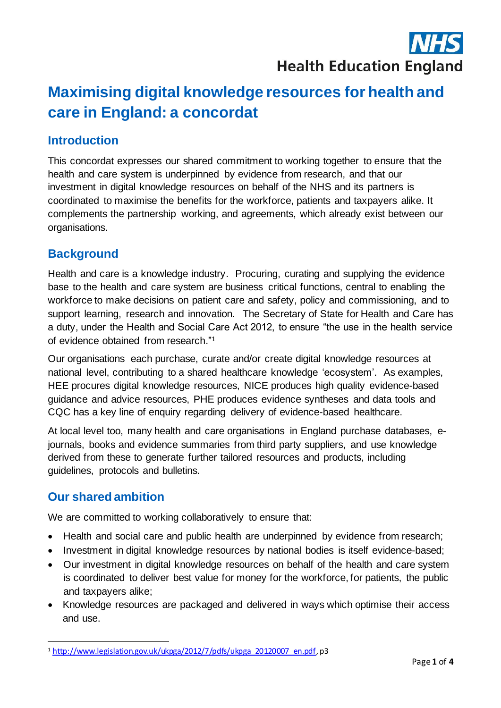## **Health Education England**

# **Maximising digital knowledge resources for health and care in England: a concordat**

### **Introduction**

This concordat expresses our shared commitment to working together to ensure that the health and care system is underpinned by evidence from research, and that our investment in digital knowledge resources on behalf of the NHS and its partners is coordinated to maximise the benefits for the workforce, patients and taxpayers alike. It complements the partnership working, and agreements, which already exist between our organisations.

## **Background**

Health and care is a knowledge industry. Procuring, curating and supplying the evidence base to the health and care system are business critical functions, central to enabling the workforce to make decisions on patient care and safety, policy and commissioning, and to support learning, research and innovation. The Secretary of State for Health and Care has a duty, under the Health and Social Care Act 2012, to ensure "the use in the health service of evidence obtained from research." 1

Our organisations each purchase, curate and/or create digital knowledge resources at national level, contributing to a shared healthcare knowledge 'ecosystem'. As examples, HEE procures digital knowledge resources, NICE produces high quality evidence-based guidance and advice resources, PHE produces evidence syntheses and data tools and CQC has a key line of enquiry regarding delivery of evidence-based healthcare.

At local level too, many health and care organisations in England purchase databases, ejournals, books and evidence summaries from third party suppliers, and use knowledge derived from these to generate further tailored resources and products, including guidelines, protocols and bulletins.

## **Our shared ambition**

We are committed to working collaboratively to ensure that:

- Health and social care and public health are underpinned by evidence from research;
- Investment in digital knowledge resources by national bodies is itself evidence-based;
- Our investment in digital knowledge resources on behalf of the health and care system is coordinated to deliver best value for money for the workforce, for patients, the public and taxpayers alike;
- Knowledge resources are packaged and delivered in ways which optimise their access and use.

<sup>&</sup>lt;sup>1</sup> [http://www.legislation.gov.uk/ukpga/2012/7/pdfs/ukpga\\_20120007\\_en.pdf](http://www.legislation.gov.uk/ukpga/2012/7/pdfs/ukpga_20120007_en.pdf), p3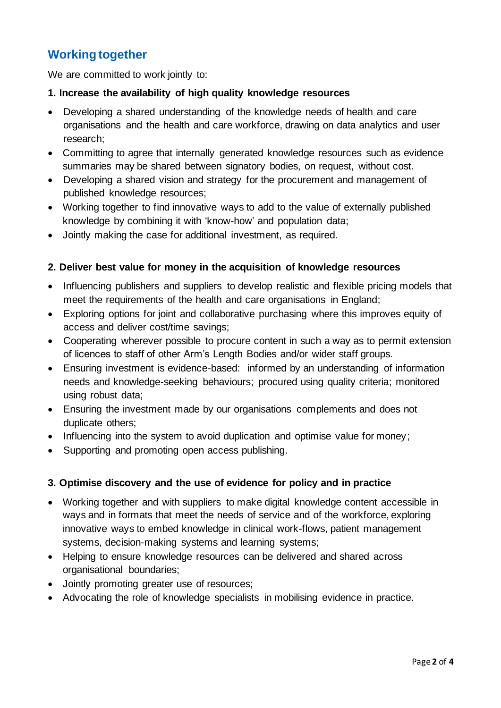## **Working together**

We are committed to work jointly to:

#### **1. Increase the availability of high quality knowledge resources**

- Developing a shared understanding of the knowledge needs of health and care organisations and the health and care workforce, drawing on data analytics and user research;
- Committing to agree that internally generated knowledge resources such as evidence summaries may be shared between signatory bodies, on request, without cost.
- Developing a shared vision and strategy for the procurement and management of published knowledge resources;
- Working together to find innovative ways to add to the value of externally published knowledge by combining it with 'know-how' and population data;
- Jointly making the case for additional investment, as required.

#### **2. Deliver best value for money in the acquisition of knowledge resources**

- Influencing publishers and suppliers to develop realistic and flexible pricing models that meet the requirements of the health and care organisations in England;
- Exploring options for joint and collaborative purchasing where this improves equity of access and deliver cost/time savings;
- Cooperating wherever possible to procure content in such a way as to permit extension of licences to staff of other Arm's Length Bodies and/or wider staff groups.
- Ensuring investment is evidence-based: informed by an understanding of information needs and knowledge-seeking behaviours; procured using quality criteria; monitored using robust data;
- Ensuring the investment made by our organisations complements and does not duplicate others;
- Influencing into the system to avoid duplication and optimise value for money;
- Supporting and promoting open access publishing.

#### **3. Optimise discovery and the use of evidence for policy and in practice**

- Working together and with suppliers to make digital knowledge content accessible in ways and in formats that meet the needs of service and of the workforce, exploring innovative ways to embed knowledge in clinical work-flows, patient management systems, decision-making systems and learning systems;
- Helping to ensure knowledge resources can be delivered and shared across organisational boundaries;
- Jointly promoting greater use of resources;
- Advocating the role of knowledge specialists in mobilising evidence in practice.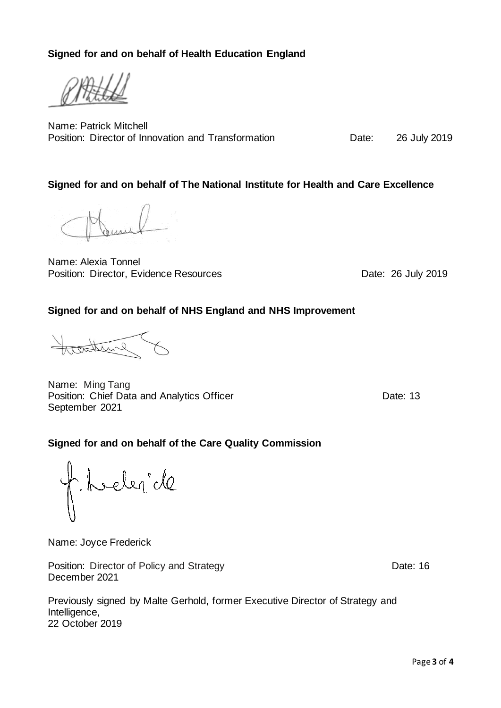Page **3** of **4**

**Signed for and on behalf of Health Education England**

Name: Patrick Mitchell Position: Director of Innovation and Transformation **Date:** 26 July 2019

#### **Signed for and on behalf of The National Institute for Health and Care Excellence**

Name: Alexia Tonnel Position: Director, Evidence Resources Date: 26 July 2019

#### **Signed for and on behalf of NHS England and NHS Improvement**

Name: Ming Tang Position: Chief Data and Analytics Officer **Date: 13** Date: 13 September 2021

#### **Signed for and on behalf of the Care Quality Commission**

heler de

Name: Joyce Frederick

Position: Director of Policy and Strategy Date: 16 December 2021

Previously signed by Malte Gerhold, former Executive Director of Strategy and Intelligence, 22 October 2019